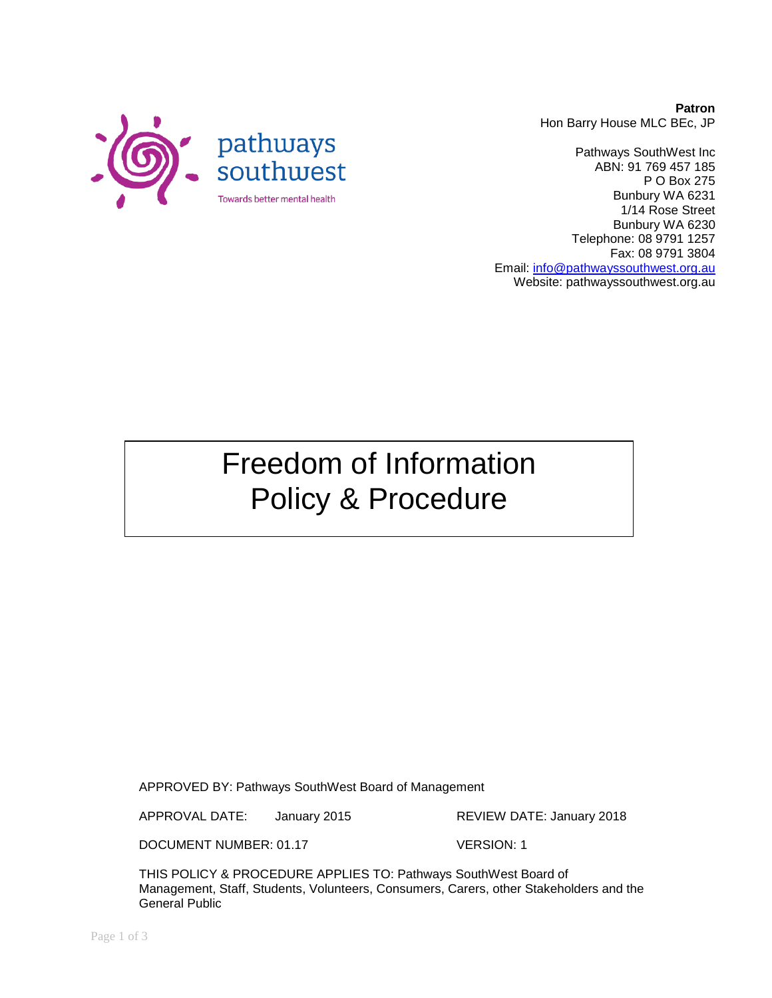**Patron** Hon Barry House MLC BEc, JP

Pathways SouthWest Inc ABN: 91 769 457 185 P O Box 275 Bunbury WA 6231 1/14 Rose Street Bunbury WA 6230 Telephone: 08 9791 1257 Fax: 08 9791 3804 Email: [info@pathwayssouthwest.org.au](mailto:info@pathwayssouthwest.org.au) Website: pathwayssouthwest.org.au

Freedom of Information Policy & Procedure

APPROVED BY: Pathways SouthWest Board of Management

APPROVAL DATE: January 2015 REVIEW DATE: January 2018

DOCUMENT NUMBER: 01.17 VERSION: 1

THIS POLICY & PROCEDURE APPLIES TO: Pathways SouthWest Board of Management, Staff, Students, Volunteers, Consumers, Carers, other Stakeholders and the General Public

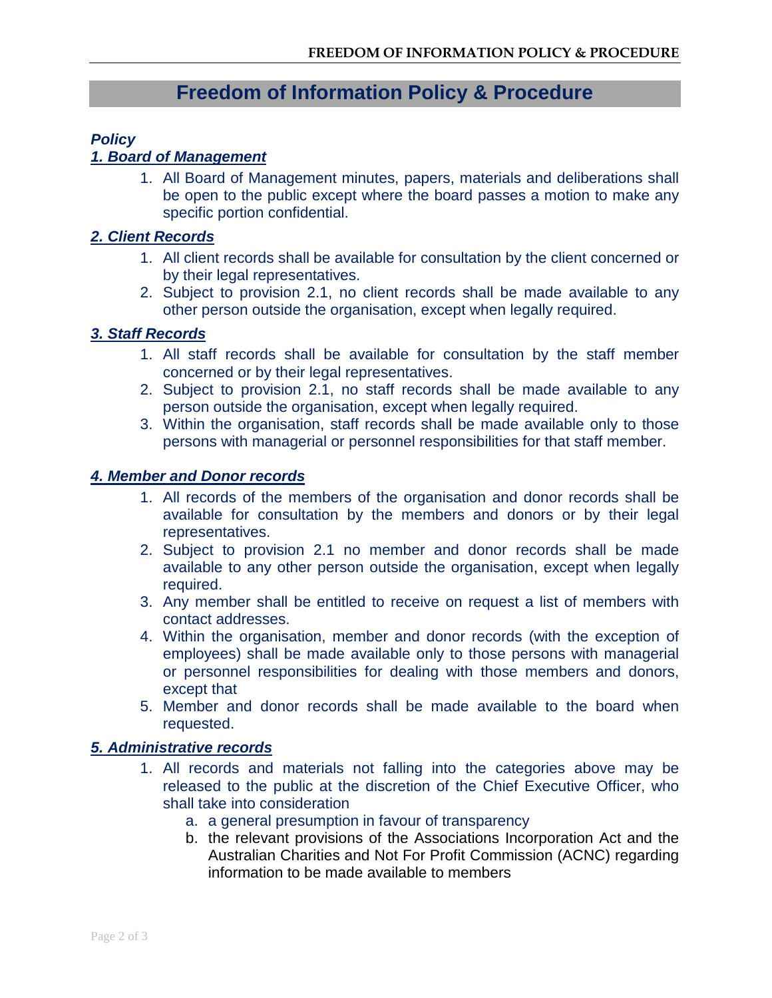# **Freedom of Information Policy & Procedure**

## *Policy*

## *1. Board of Management*

1. All Board of Management minutes, papers, materials and deliberations shall be open to the public except where the board passes a motion to make any specific portion confidential.

## *2. Client Records*

- 1. All client records shall be available for consultation by the client concerned or by their legal representatives.
- 2. Subject to provision 2.1, no client records shall be made available to any other person outside the organisation, except when legally required.

## *3. Staff Records*

- 1. All staff records shall be available for consultation by the staff member concerned or by their legal representatives.
- 2. Subject to provision 2.1, no staff records shall be made available to any person outside the organisation, except when legally required.
- 3. Within the organisation, staff records shall be made available only to those persons with managerial or personnel responsibilities for that staff member.

#### *4. Member and Donor records*

- 1. All records of the members of the organisation and donor records shall be available for consultation by the members and donors or by their legal representatives.
- 2. Subject to provision 2.1 no member and donor records shall be made available to any other person outside the organisation, except when legally required.
- 3. Any member shall be entitled to receive on request a list of members with contact addresses.
- 4. Within the organisation, member and donor records (with the exception of employees) shall be made available only to those persons with managerial or personnel responsibilities for dealing with those members and donors, except that
- 5. Member and donor records shall be made available to the board when requested.

#### *5. Administrative records*

- 1. All records and materials not falling into the categories above may be released to the public at the discretion of the Chief Executive Officer, who shall take into consideration
	- a. a general presumption in favour of transparency
	- b. the relevant provisions of the Associations Incorporation Act and the Australian Charities and Not For Profit Commission (ACNC) regarding information to be made available to members